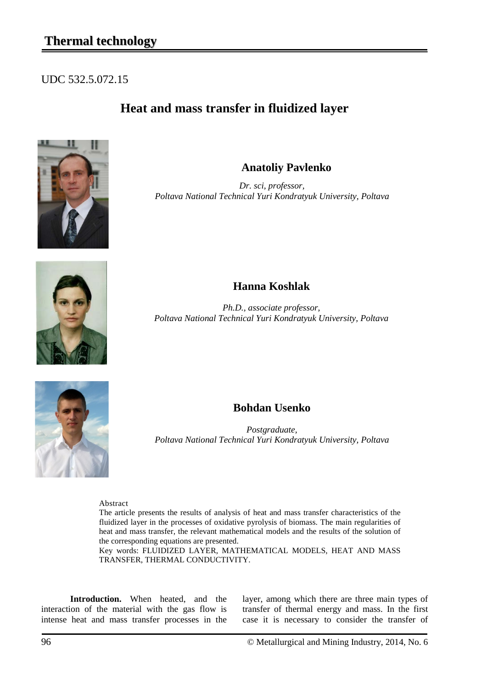#### UDC 532.5.072.15

# **Heat and mass transfer in fluidized layer**



**Anatoliy Pavlenko**

*Dr. sci, professor, Poltava National Technical Yuri Kondratyuk University, Poltava*



## **Hanna Koshlak**

*Ph.D., associate professor, Poltava National Technical Yuri Kondratyuk University, Poltava*



### **Bohdan Usenko**

*Postgraduate, Poltava National Technical Yuri Kondratyuk University, Poltava*

Abstract

The article presents the results of analysis of heat and mass transfer characteristics of the fluidized layer in the processes of oxidative pyrolysis of biomass. The main regularities of heat and mass transfer, the relevant mathematical models and the results of the solution of the corresponding equations are presented.

Key words: FLUIDIZED LAYER, MATHEMATICAL MODELS, HEAT AND MASS TRANSFER, THERMAL CONDUCTIVITY.

**Introduction.** When heated, and the interaction of the material with the gas flow is intense heat and mass transfer processes in the

layer, among which there are three main types of transfer of thermal energy and mass. In the first case it is necessary to consider the transfer of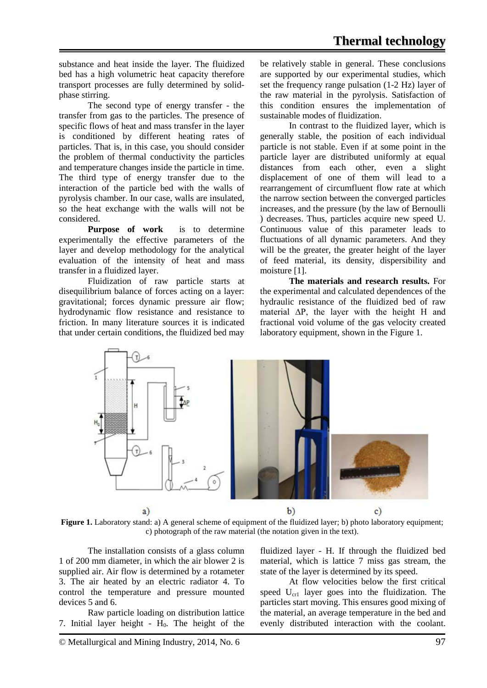substance and heat inside the layer. The fluidized bed has a high volumetric heat capacity therefore transport processes are fully determined by solidphase stirring.

The second type of energy transfer - the transfer from gas to the particles. The presence of specific flows of heat and mass transfer in the layer is conditioned by different heating rates of particles. That is, in this case, you should consider the problem of thermal conductivity the particles and temperature changes inside the particle in time. The third type of energy transfer due to the interaction of the particle bed with the walls of pyrolysis chamber. In our case, walls are insulated, so the heat exchange with the walls will not be considered.

**Purpose of work** is to determine experimentally the effective parameters of the layer and develop methodology for the analytical evaluation of the intensity of heat and mass transfer in a fluidized layer.

Fluidization of raw particle starts at disequilibrium balance of forces acting on a layer: gravitational; forces dynamic pressure air flow; hydrodynamic flow resistance and resistance to friction. In many literature sources it is indicated that under certain conditions, the fluidized bed may be relatively stable in general. These conclusions are supported by our experimental studies, which set the frequency range pulsation (1-2 Hz) layer of the raw material in the pyrolysis. Satisfaction of this condition ensures the implementation of sustainable modes of fluidization.

In contrast to the fluidized layer, which is generally stable, the position of each individual particle is not stable. Even if at some point in the particle layer are distributed uniformly at equal distances from each other, even a slight displacement of one of them will lead to a rearrangement of circumfluent flow rate at which the narrow section between the converged particles increases, and the pressure (by the law of Bernoulli ) decreases. Thus, particles acquire new speed U. Continuous value of this parameter leads to fluctuations of all dynamic parameters. And they will be the greater, the greater height of the layer of feed material, its density, dispersibility and moisture [1].

**The materials and research results.** For the experimental and calculated dependences of the hydraulic resistance of the fluidized bed of raw material ∆P, the layer with the height H and fractional void volume of the gas velocity created laboratory equipment, shown in the Figure 1.



**Figure 1.** Laboratory stand: a) A general scheme of equipment of the fluidized layer; b) photo laboratory equipment; c) photograph of the raw material (the notation given in the text).

The installation consists of a glass column 1 of 200 mm diameter, in which the air blower 2 is supplied air. Air flow is determined by a rotameter 3. The air heated by an electric radiator 4. To control the temperature and pressure mounted devices 5 and 6.

Raw particle loading on distribution lattice 7. Initial layer height -  $H_0$ . The height of the fluidized layer - H. If through the fluidized bed material, which is lattice 7 miss gas stream, the state of the layer is determined by its speed.

At flow velocities below the first critical speed  $U_{cr1}$  layer goes into the fluidization. The particles start moving. This ensures good mixing of the material, an average temperature in the bed and evenly distributed interaction with the coolant.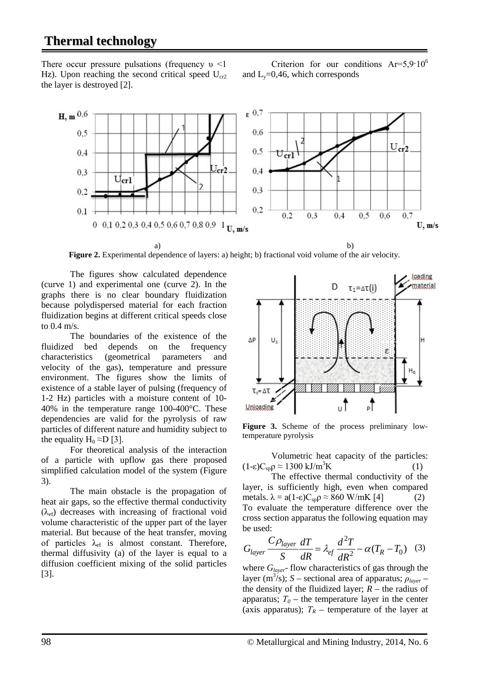# **Thermal technology**

There occur pressure pulsations (frequency  $v \le 1$ Hz). Upon reaching the second critical speed  $U_{cr2}$ the layer is destroyed [2].

Criterion for our conditions  $Ar=5.9.10^6$ and  $L_v=0,46$ , which corresponds



a) b) **Figure 2.** Experimental dependence of layers: a) height; b) fractional void volume of the air velocity.

The figures show calculated dependence (curve 1) and experimental one (curve 2). In the graphs there is no clear boundary fluidization because polydispersed material for each fraction fluidization begins at different critical speeds close to 0.4 m/s.

The boundaries of the existence of the fluidized bed depends on the frequency characteristics (geometrical parameters and velocity of the gas), temperature and pressure environment. The figures show the limits of existence of a stable layer of pulsing (frequency of 1-2 Hz) particles with a moisture content of 10- 40% in the temperature range 100-400°C. These dependencies are valid for the pyrolysis of raw particles of different nature and humidity subject to the equality  $H_0 \approx D$  [3].

For theoretical analysis of the interaction of a particle with upflow gas there proposed simplified calculation model of the system (Figure 3).

The main obstacle is the propagation of heat air gaps, so the effective thermal conductivity  $(\lambda_{\text{ef}})$  decreases with increasing of fractional void volume characteristic of the upper part of the layer material. But because of the heat transfer, moving of particles  $\lambda_{\rm ef}$  is almost constant. Therefore, thermal diffusivity (a) of the layer is equal to a diffusion coefficient mixing of the solid particles [3].



**Figure 3.** Scheme of the process preliminary lowtemperature pyrolysis

Volumetric heat capacity of the particles:  $(1-\epsilon)C_{\rm SD}\rho \approx 1300 \text{ kJ/m}^3\text{K}$ K  $(1)$ 

The effective thermal conductivity of the layer, is sufficiently high, even when compared metals.  $\lambda = a(1-\epsilon)C_{\rm sp}\rho \approx 860$  W/mK [4] (2) To evaluate the temperature difference over the cross section apparatus the following equation may be used:

$$
G_{layer} \frac{C\rho_{layer}}{S} \frac{dT}{dR} = \lambda_{ef} \frac{d^2T}{dR^2} - \alpha (T_R - T_0) \quad (3)
$$

where  $G_{layer}$ - flow characteristics of gas through the layer (m3 /s); *S* – sectional area of apparatus; *ρlayer* – the density of the fluidized layer;  $R$  – the radius of apparatus;  $T_0$  – the temperature layer in the center (axis apparatus);  $T_R$  – temperature of the layer at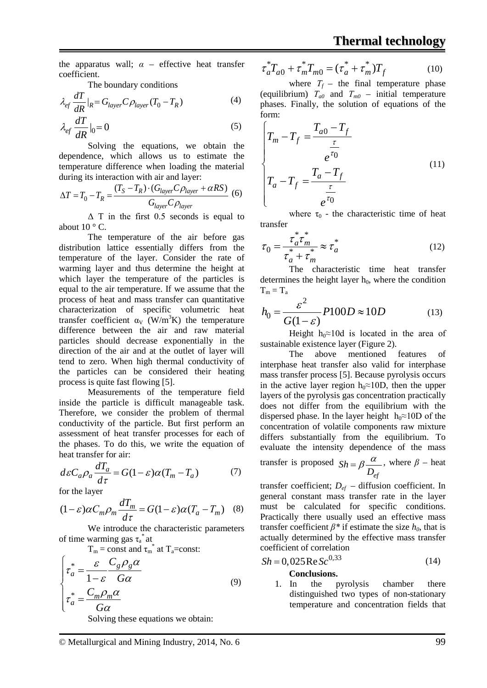the apparatus wall;  $\alpha$  – effective heat transfer coefficient.

The boundary conditions

$$
\lambda_{ef} \frac{dT}{dR}|_R = G_{layer} C \rho_{layer} (T_0 - T_R)
$$
\n(4)

$$
\lambda_{ef} \frac{dT}{dR} \Big|_0 = 0 \tag{5}
$$

Solving the equations, we obtain the dependence, which allows us to estimate the temperature difference when loading the material during its interaction with air and layer:

$$
\Delta T = T_0 - T_R = \frac{(T_S - T_R) \cdot (G_{layer} C \rho_{layer} + \alpha RS)}{G_{layer} C \rho_{layer}}
$$
(6)

Δ T in the first 0.5 seconds is equal to about  $10 \degree$  C.

The temperature of the air before gas distribution lattice essentially differs from the temperature of the layer. Consider the rate of warming layer and thus determine the height at which layer the temperature of the particles is equal to the air temperature. If we assume that the process of heat and mass transfer can quantitative characterization of specific volumetric heat transfer coefficient  $\alpha_V$  (W/m<sup>3</sup>K) the temperature difference between the air and raw material particles should decrease exponentially in the direction of the air and at the outlet of layer will tend to zero. When high thermal conductivity of the particles can be considered their heating process is quite fast flowing [5].

Measurements of the temperature field inside the particle is difficult manageable task. Therefore, we consider the problem of thermal conductivity of the particle. But first perform an assessment of heat transfer processes for each of the phases. To do this, we write the equation of heat transfer for air:

$$
d\varepsilon C_a \rho_a \frac{dT_a}{d\tau} = G(1 - \varepsilon)\alpha (T_m - T_a) \tag{7}
$$

for the layer

$$
(1 - \varepsilon)\alpha C_m \rho_m \frac{dT_m}{d\tau} = G(1 - \varepsilon)\alpha (T_a - T_m) \quad (8)
$$

We introduce the characteristic parameters of time warming gas  $\tau_a^*$  at

 $T_m$  = const and  $\tau_m^*$  at  $T_a$ =const:

$$
\begin{cases}\n\tau_a^* = \frac{\varepsilon}{1 - \varepsilon} \frac{C_g \rho_g \alpha}{G \alpha} \\
\tau_a^* = \frac{C_m \rho_m \alpha}{G \alpha}\n\end{cases}
$$
\n(9)

Solving these equations we obtain:

$$
\tau_a^* T_{a0} + \tau_m^* T_{m0} = (\tau_a^* + \tau_m^*) T_f
$$
 (10)

where  $T_f$  – the final temperature phase (equilibrium)  $T_{a0}$  and  $T_{m0}$  – initial temperature phases. Finally, the solution of equations of the form:

$$
\begin{cases}\nT_m - T_f = \frac{T_{a0} - T_f}{\frac{\tau}{e^{\tau_0}}} \\
T_a - T_f = \frac{T_a - T_f}{\frac{\tau}{e^{\tau_0}}}\n\end{cases}
$$
\n(11)

where  $\tau_0$  - the characteristic time of heat transfer

$$
\tau_0 = \frac{\tau_a^* \tau_m^*}{\tau_a^* + \tau_m^*} \approx \tau_a^*
$$
\n(12)

The characteristic time heat transfer determines the height layer  $h_0$ , where the condition  $T_m = T_a$ 

$$
h_0 = \frac{\varepsilon^2}{G(1-\varepsilon)} P100D \approx 10D \tag{13}
$$

Height h<sub>0</sub>≈10d is located in the area of sustainable existence layer (Figure 2).

The above mentioned features of interphase heat transfer also valid for interphase mass transfer process [5]. Because pyrolysis occurs in the active layer region h<sub>0</sub>≈10D, then the upper layers of the pyrolysis gas concentration practically does not differ from the equilibrium with the dispersed phase. In the layer height  $h_0 \approx 10D$  of the concentration of volatile components raw mixture differs substantially from the equilibrium. To evaluate the intensity dependence of the mass

transfer is proposed *ef Sh D*  $= \beta \frac{\alpha}{\beta}$ , where  $\beta$  – heat

transfer coefficient;  $D_{ef}$  – diffusion coefficient. In general constant mass transfer rate in the layer must be calculated for specific conditions. Practically there usually used an effective mass transfer coefficient  $\beta^*$  if estimate the size  $h_0$ , that is actually determined by the effective mass transfer coefficient of correlation

$$
Sh = 0,025 \text{ Re } Sc^{0,33}
$$
 (14)  
Conclusions.

1. In the pyrolysis chamber there distinguished two types of non-stationary temperature and concentration fields that